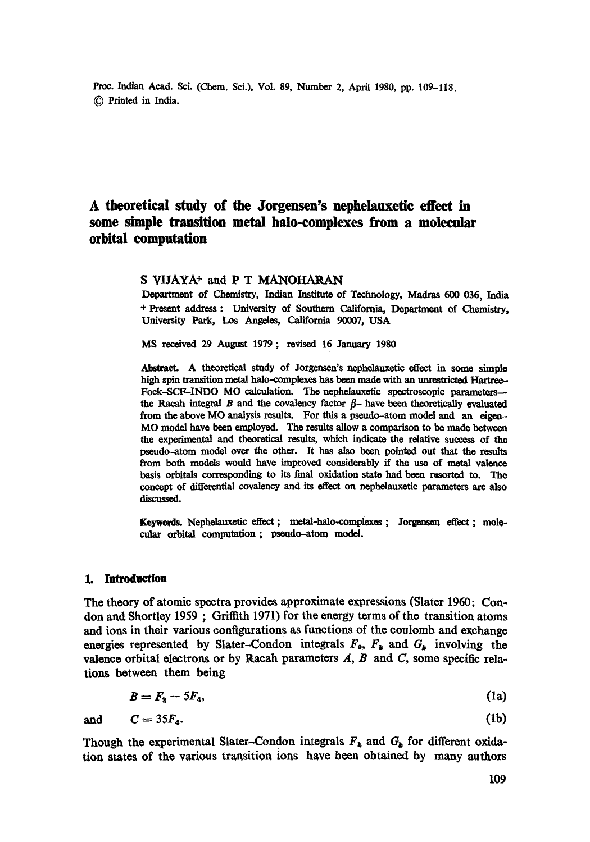Proc. Indian Acad. Sci. (Chem. Sci.), Vol. 89, Number 2, April 1980, pp. 109-118. 9 Printed in India.

# **A theoretical study of the Jorgensen's nephelauxetic effect in some simple transition metal halo-complexes from a molecular orbital computation**

## S VIJAYA<sup>+</sup> and P T MANOHARAN

Department of Chemistry, Indian Institute of Technology, Madras 600 036, India + Present address : University of Southern California, Department of Chemistry, University Park, Los Angeles, California 90007, USA

MS received 29 August 1979 ; revised 16 January 1980

Abstract. A theoretical study of Jorgensen's nephelauxetic effect in some simple high spin transition metal halo-complexes has been made with an unrestricted Hartree-Fock-SCF-INDO MO calculation. The nephelauxetic spectroscopic parameters-the Racah integral B and the covalency factor  $\beta$ - have been theoretically evaluated from the above MO analysis results. For this a pseudo-atom model and an eigen-MO model have been employed. The results allow a comparison to be made between the experimental and theoretical results, which indicate the relative success of the pseudo-atom model over the other. It has also been pointed out that the results from both models would have improved considerably ff the use of metal valence basis orbitals corresponding to its final oxidation state had been resorted to. The concept of differential covalency and its effect on nephelauxetic parameters are also discussed.

Keywords. Nephelauxetic effect ; metal-halo-complexes ; Jorgensen effect ; molecular orbital computation ; pseudo-atom model.

### **L Introduction**

The theory of atomic spectra provides approximate expressions (Slater 1960; Condon and Shortley 1959 ; Griffith 1971) for the energy terms of the transition atoms and ions in their various configurations as functions of the coulomb and exchange energies represented by Slater-Condon integrals  $F_0$ ,  $F_k$  and  $G_k$  involving the valence orbital electrons or by Racah parameters  $A$ ,  $B$  and  $C$ , some specific relations between them being

$$
B = F_2 - 5F_4,\tag{1a}
$$

and  $C = 35F_4$ . (lb)

Though the experimental Slater-Condon integrals  $F_k$  and  $G_k$  for different oxidation states of the various transition ions have been obtained by many authors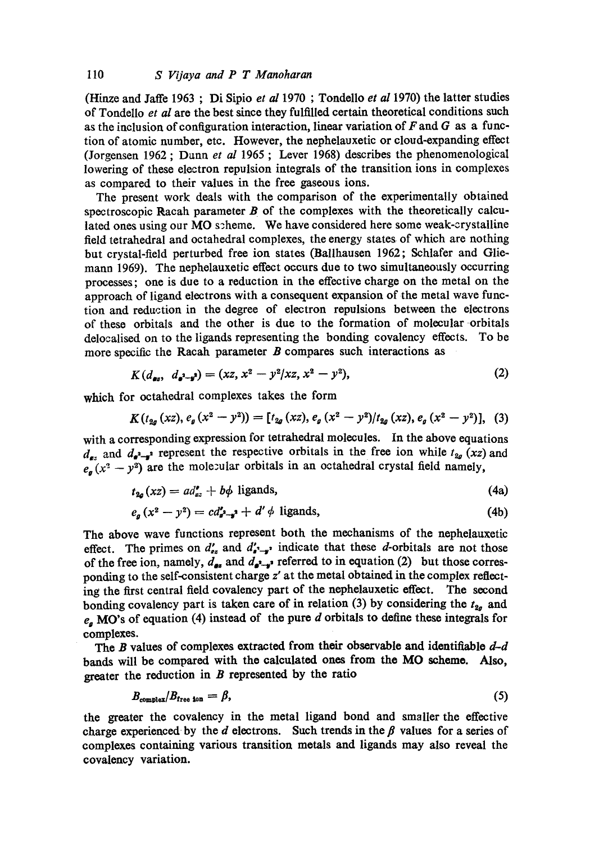(Hinze and Jaffe 1963 ; Di Sipio *et al* 1970 ; Tondello *et al* 1970) the latter studies of Tondello *et al* are the best since they fulfilled certain theoretical conditions such as the inclusion of configuration interaction, linear variation of  $F$  and  $G$  as a function of atomic number, etc. However, the nephelauxetic or cloud-expanding effect (Jorgensen 1962 ; Dann *et al* 1965 ; Lever 1968) describes the phenomenological lowering of these electron repulsion integrals of the transition ions in complexes as compared to their values in the free gaseous ions.

The present work deals with the comparison of the experimentally obtained spectroscopic Racah parameter  $B$  of the complexes with the theoretically calculated ones using our MO scheme. We have considered here some weak-crystalline field tetrahedral and octahedral complexes, the energy states of which are nothing but crystal-field perturbed free ion states (Ballhausen 1962; Schlafer and Gliemann 1969). The nephelauxetic effect occurs due to two simultaneously occurring processes; one is due to a reduction in the effective charge on the metal on the approach of ligand electrons with a consequent expansion of the metal wave function and reduction in the degree of electron repulsions between the electrons of these orbitals and the other is due to the formation of molecular orbitals delocalised on to the ligands representing the bonding covalency effects. To be more specific the Racah parameter  $B$  compares such interactions as

$$
K(d_{\bullet s}, d_{\bullet^2 - s^2}) = (xz, x^2 - y^2/xz, x^2 - y^2),
$$
\n(2)

which for octahedral complexes takes the form

$$
K(t_{2g}(xz), e_g(x^2 - y^2)) = [t_{2g}(xz), e_g(x^2 - y^2)/t_{2g}(xz), e_g(x^2 - y^2)], \quad (3)
$$

with a corresponding expression for tetrahedral molecules. In the above equations  $d_{\epsilon}$  and  $d_{\epsilon^2}$  represent the respective orbitals in the free ion while  $t_{2g}$  (xz) and  $e_n (x^2 - y^2)$  are the molecular orbitals in an octahedral crystal field namely,

$$
t_{2a}(xz) = ad_{xz}^{\prime} + b\phi \text{ ligands},\tag{4a}
$$

$$
e_{a}(x^{2}-y^{2})=cd_{a^{2}-a^{2}}'+d'\phi \text{ ligands}, \qquad (4b)
$$

The above wave functions represent both the mechanisms of the nephelauxetic effect. The primes on  $d'_{\sigma}$  and  $d'_{\sigma-\sigma}$  indicate that these *d*-orbitals are not those of the free ion, namely,  $d_{\mathbf{s}}$  and  $d_{\mathbf{s}^*-\mathbf{s}^*}$  referred to in equation (2) but those corresponding to the self-consistent charge z' at the metal obtained in the complex reflecting the first central field covalency part of the nephelauxetic effect. The second bonding covalency part is taken care of in relation (3) by considering the  $t_{2g}$  and  $e_a$  MO's of equation (4) instead of the pure d orbitals to define these integrals for complexes.

The B values of complexes extracted from their observable and identifiable  $d-d$ bands will be compared with the calculated ones from the MO scheme. Also, greater the reduction in  $B$  represented by the ratio

$$
B_{\text{complex}}/B_{\text{free ion}} = \beta, \tag{5}
$$

the grater the covalency in the metal ligand bond and smaller the effective charge experienced by the d electrons. Such trends in the  $\beta$  values for a series of complexes containing various transition metals and ligands may also reveal the eovalency variation.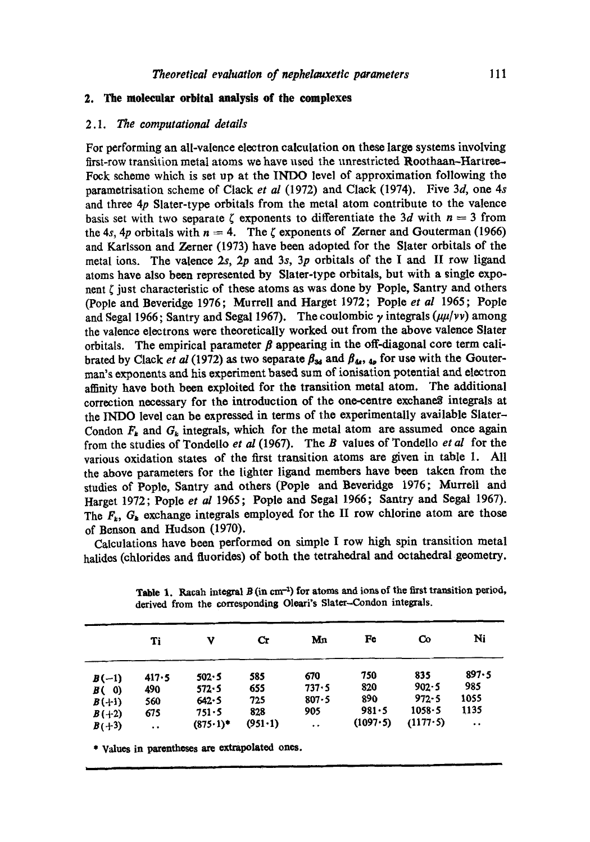### **2. The molecular orbital analysis of the complexes**

### *2.1. The computational details*

For performing an all-valence electron calculation on these large systems involving first-row transition metal atoms we have used the unrestricted Roothaan-Hartree.- Fock scheme which is set up at the INDO level of approximation following the parametrisation scheme of Clack *et al* (1972) and Clack (1974). Five 3d, one 4s and three  $4p$  Slater-type orbitals from the metal atom contribute to the valence basis set with two separate  $\zeta$  exponents to differentiate the 3d with  $n = 3$  from the 4s, 4p orbitals with  $n = 4$ . The  $\zeta$  exponents of Zerner and Gouterman (1966) and Karlsson and Zerner (1973) have been adopted for the Slater orbitals of the metal ions. The valence  $2s$ ,  $2p$  and  $3s$ ,  $3p$  orbitals of the I and II row ligand atoms have also been represented by Slater-type orbitals, but with a single exponent  $\zeta$  just characteristic of these atoms as was done by Pople, Santry and others (Pople and Beveridge 1976; Murrell and Harget 1972; Pople *et al* 1965; Pople and Segal 1966; Santry and Segal 1967). The coulombic  $\gamma$  integrals  $(\mu\mu/\nu\nu)$  among the valence electrons wore theoretically worked out from the above valence Slater orbitals. The empirical parameter  $\beta$  appearing in the off-diagonal core term calibrated by Clack *et al* (1972) as two separate  $\beta_{34}$  and  $\beta_{4}$ ,  $_{4p}$  for use with the Gouterman's exponents and his experiment based sum of ionisation potential and electron affinity have both been exploited for the transition metal atom. The additional correction necessary for the introduction of the one-centre exchanes integrals at the INDO level can be expressed in terms of the experimentally available Slater-Condon  $F_k$  and  $G_k$  integrals, which for the metal atom are assumed once again from the studies of Tondello *et al* (1967). The B values of Tondello *et al* for the various oxidation states of the first transition atoms are given in table 1. All the above parameters for the lighter ligand members have been taken from the studies of Pople, Santry and others (Pople and Beveridge 1976; Murrell and Harget 1972; Pople *et al* 1965; Poplo and Segal 1966; Santry and Segal 1967). The  $F_k$ ,  $G_k$  exchange integrals employed for the II row chlorine atom are those of Benson and Hudson (1970).

Calculations have been performed on simple I row high spin transition metal halidos (chlorides and fluorides) of both the tetrahedral and octahedral geometry.

|         | Ti        | ν                 | Cr              | Mл                   | Fe       | Co        | Ni                   |
|---------|-----------|-------------------|-----------------|----------------------|----------|-----------|----------------------|
| $B(-1)$ | 417.5     | 502.5             | 585             | 670                  | 750      | 835       | 897.5                |
| B(0)    | 490       | 572.5             | 655             | 737.5                | 820      | $902 - 5$ | 985                  |
| $B(+1)$ | 560       | 642.5             | 725             | $807 - 5$            | 890      | $972 - 5$ | 1055                 |
| $B(+2)$ | 675       | $751 - 5$         | 828             | 905                  | 981.5    | 1058.5    | 1135                 |
| $B(+3)$ | $\bullet$ | $(875 \cdot 1)^*$ | $(951 \cdot 1)$ | $\ddot{\phantom{0}}$ | (1097.5) | (1177.5)  | $\ddot{\phantom{1}}$ |

I I Ill ] I I I

Table 1. Racah integral  $B$  (in cm<sup>-1</sup>) for atoms and ions of the first transition period, derived from the correspondins Oleari's Slater-Condon integrals.

**\* Values in parentheses are extrapolated ones.**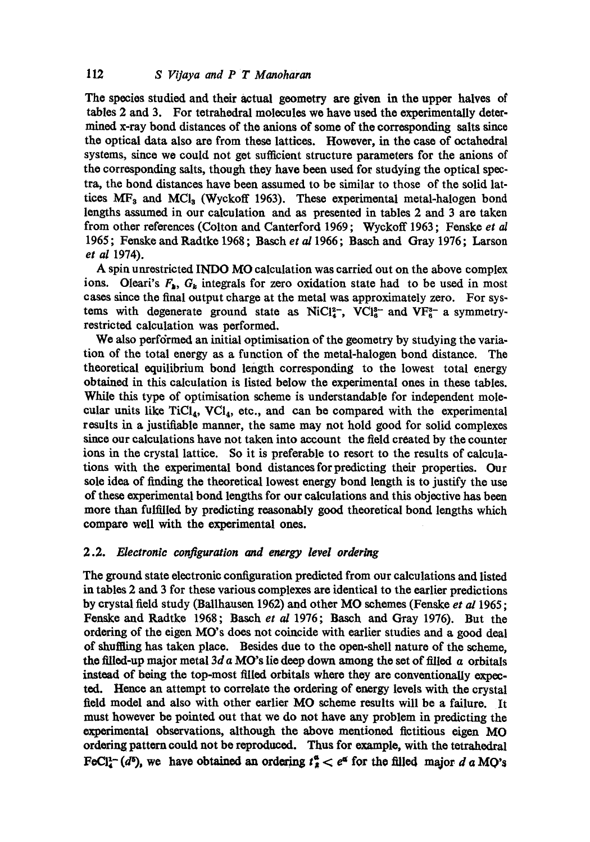The species studied and their actual geometry are given in the upper halves of tables 2 and 3. For tetrahedral molecules we have used the experimentally determined x-ray bond distances of the anions of some of the corresponding salts since the optical data also are from those lattices. However, in the case of octahedxal systems, since we could not get sufficient structure parameters for the anions of the corresponding salts, though they have been used for studying the optical spectra, the hond distances have been assumed to be similar to those of the solid lattices  $MF_3$  and  $MCl_3$  (Wyckoff 1963). These experimental metal-halogen bond lengths assumed in our calculation and as presented in tables 2 and 3 are taken from other references (Colton and Canterford 1969; Wyckoff 1963; Fenske *et o2*  1965; Fonske and Radtke 1968 ; Basch *et al* 1966; Basch and Gray 1976; Larson *et al* 1974).

A spin unrestricted INDO MO calculation was carried out on the above complex ions. Oleari's  $F_{\mathbf{k}}$ ,  $G_{\mathbf{k}}$  integrals for zero oxidation state had to be used in most cases since the final output charge at the metal was approximately zero. For systems with degenerate ground state as  $NiCl<sub>4</sub><sup>2</sup>$ , VCI $_{6}^{8-}$  and VF $_{6}^{8-}$  a symmetryrestricted calculation was performed.

We also performed an initial optimisation of the geometry by studying the variation of the total energy as a function of the metal-halogen bond distance. The theoretical equilibrium bond length corresponding to the lowest total energy obtained in this calculation is listed below the experimental ones in these tables. While this type of optimisation scheme is understandable for independent molecular units like  $TiCl_4$ ,  $VCI_4$ , etc., and can be compared with the experimental results in a justifiable manner, the same may not hold good for solid complexes since our calculations have not taken into account the field created by the counter ions in the crystal lattice. So it is preferable to resort to the results of calculations with the experimental bond distances for predicting their properties. Our sole idea of finding the theoretical lowest energy bond length is to justify the use of these experimental bond lengths for our calculations and this objective has been more than fulfilled by predicting reasonably good theoretical bond lengths which compare well with the experimental ones.

### *2.2. Electronic configuration and energy level ordering*

The ground state electronic configuration predicted from our calculations and listed in tables 2 and 3 for these various complexes are identical to the earlier predictions by crystal field study (Ballhausen 1962) and other MO schemes (Fenske *et al* 1965; Fenske and Radtke 1968; Basch *et al* 1976; Basch and Gray 1976). But the ordering of the eigen MO's does not coincide with earlier studies and a good deal of shuffling has taken place. Besides due to the open-shell nature of the scheme, the filled-up major metal 3d  $\alpha$  MO's lie deep down among the set of filled  $\alpha$  orbitals instead of being the top-most filled orbitals where they are conventionally expected. Hence an attempt to correlate the ordering of energy levels with the crystal field model and also with other earlier MO scheme results will be a failure. It must however be pointed out that we do not have any problem in predicting the  $experiments$  observations, although the above mentioned fictitious eigen  $MO$ ordering pattoru could not be reproduced. Thus for example, with the tetrahedral FeCl<sup>1</sup>- (d<sup>5</sup>), we have obtained an ordering  $t^a = e^a$  for the filled major d a MO's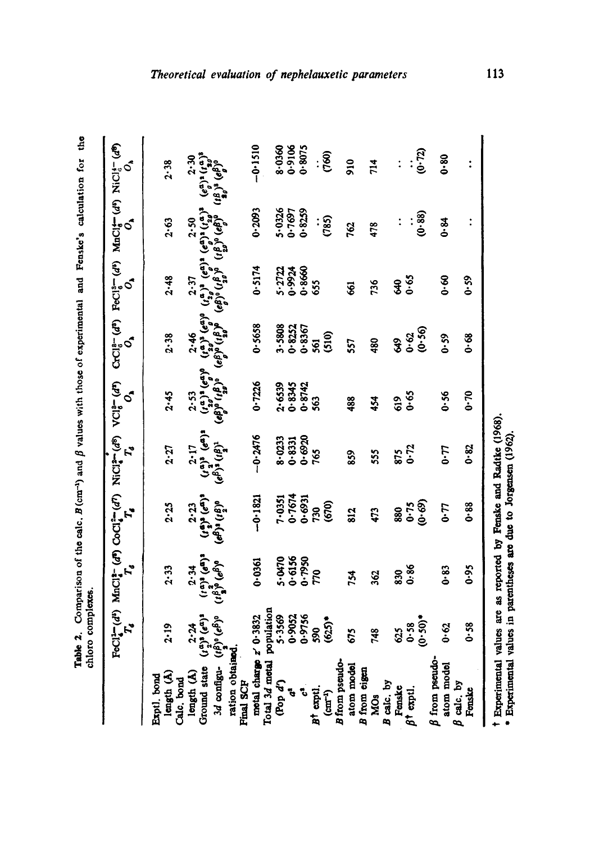| $2.53$<br>$(a, a)$ <b>(</b> $e^{a}$ ) <sup>0</sup><br>$(e^{a}_{p})^{0}$ ( $e^{a}_{p}$ ) <sup>0</sup><br>$\begin{array}{c} (r^{\alpha})^3 \ (r^{\alpha})^3 \ (e^{\alpha})^3 \ (e^{\beta})^3 \ (e^{\beta})^3 \end{array}$<br>$-0.2476$<br>0.6920<br>$8.0233$<br>$0.8331$<br>2.27<br>$875$<br>$0.72$<br><b>L.0</b><br>765<br>555<br>859<br>$0.7674$<br>$0.6931$<br>$($ , $\epsilon_{\rm B}^{2})$ $($ , $\epsilon_{\rm B}^{2})$ $($ , $\epsilon_{\rm B}^{2})$ $($ , $\epsilon_{\rm B}^{2})$ $($ , $\epsilon_{\rm B}^{2})$ $($ , $\epsilon_{\rm B}^{2})$ $($<br>$-0.1821$<br>7-0351<br>$0.75$<br>$(0.69)$<br>(670)<br>2.25<br><b>G-0</b><br>730<br>880<br>812<br>473<br>$\begin{array}{c} \left(t^{\alpha}\right)^{3}\left(e^{\alpha}\right)^{3}\\ \left(t^{\beta}_{\alpha}\right)^{0}\left(e^{\beta}\right)^{3} \end{array}$<br>5.0470<br>0.6156<br>0.7950<br>0.0361<br>0.86<br>2.33<br>2.34<br>0.83<br>770<br>830<br>754<br>362<br>population<br>$2.24$<br>$(a_2^a)$ <sup>3</sup> $(e^a)$ <sup>3</sup><br>z' 0.3832<br>5.3569<br>0.9052<br>0.9756<br>(0.50)<br>$(\iota_2^{(k)})^0 (e^{\beta})^0$<br>$(625)$ *<br>0.58<br>2.19<br>0.62<br>590<br>625<br>748<br>675<br>ration obtained.<br>motal charge<br>B from pseudo-<br>$\beta$ from pseudo<br>Total 3d metal<br>3d configu-<br>atom model<br>atom model<br>Ground state<br>B from cigen<br>length (A)<br>length (A)<br>Exptl. bond<br>Calc. bond<br><b>Final SCP</b><br>(Pop d')<br>B calc. by<br>calc, by<br>Fenske<br>$B^{\dagger}$ exptl.<br>$(\text{cm}^{-1})$<br>$\ddot{\cdot}$<br>$\beta^{\dagger}$ exptl.<br>ć<br>MO <sub>3</sub><br>$\boldsymbol{\beta}$ | ${\rm FeCl}_4^{\bullet-}(d^s)$ ${\rm MacCl}_4^{\bullet-}(d^r)$ ${\rm CoCl}_4^{\bullet-}(d^r)$ ${\rm NiCl}_4^{\bullet-}(d^s)$ ${\rm VCl}_6^{\bullet-}(d^r)$<br>$\mathbf{r}_s$ | S.                 | $C r C 16 - (d^3)$<br>$\vec{o}$                                                                                       | $\sigma$                                                                                                                                                                                                                         | FeCl <sub>3</sub> -(d <sup>2</sup> ) MnCl4-(d2) NiCl <sub>3</sub> -(d <sup>2</sup> )<br>S.                                                            | $\sigma$                                                            |
|-------------------------------------------------------------------------------------------------------------------------------------------------------------------------------------------------------------------------------------------------------------------------------------------------------------------------------------------------------------------------------------------------------------------------------------------------------------------------------------------------------------------------------------------------------------------------------------------------------------------------------------------------------------------------------------------------------------------------------------------------------------------------------------------------------------------------------------------------------------------------------------------------------------------------------------------------------------------------------------------------------------------------------------------------------------------------------------------------------------------------------------------------------------------------------------------------------------------------------------------------------------------------------------------------------------------------------------------------------------------------------------------------------------------------------------------------------------------------------------------------------------------------------------------------------------------------------------------------------------------|------------------------------------------------------------------------------------------------------------------------------------------------------------------------------|--------------------|-----------------------------------------------------------------------------------------------------------------------|----------------------------------------------------------------------------------------------------------------------------------------------------------------------------------------------------------------------------------|-------------------------------------------------------------------------------------------------------------------------------------------------------|---------------------------------------------------------------------|
|                                                                                                                                                                                                                                                                                                                                                                                                                                                                                                                                                                                                                                                                                                                                                                                                                                                                                                                                                                                                                                                                                                                                                                                                                                                                                                                                                                                                                                                                                                                                                                                                                   |                                                                                                                                                                              |                    |                                                                                                                       |                                                                                                                                                                                                                                  |                                                                                                                                                       | 2.38                                                                |
|                                                                                                                                                                                                                                                                                                                                                                                                                                                                                                                                                                                                                                                                                                                                                                                                                                                                                                                                                                                                                                                                                                                                                                                                                                                                                                                                                                                                                                                                                                                                                                                                                   |                                                                                                                                                                              | 2.45               | 2.38                                                                                                                  | 2.48                                                                                                                                                                                                                             | 2.63                                                                                                                                                  |                                                                     |
|                                                                                                                                                                                                                                                                                                                                                                                                                                                                                                                                                                                                                                                                                                                                                                                                                                                                                                                                                                                                                                                                                                                                                                                                                                                                                                                                                                                                                                                                                                                                                                                                                   |                                                                                                                                                                              |                    |                                                                                                                       | 2.37                                                                                                                                                                                                                             | 2.50                                                                                                                                                  | 2.30                                                                |
|                                                                                                                                                                                                                                                                                                                                                                                                                                                                                                                                                                                                                                                                                                                                                                                                                                                                                                                                                                                                                                                                                                                                                                                                                                                                                                                                                                                                                                                                                                                                                                                                                   |                                                                                                                                                                              |                    |                                                                                                                       |                                                                                                                                                                                                                                  | $(t_{2g}^{02})$ $(e_{0g}^{0})$ $(t_{0g}^{0})$ $(t_{2g}^{0})$ <sup>3</sup>                                                                             | $(e_{n}^{a})$ $(1^{a})^{8}$                                         |
|                                                                                                                                                                                                                                                                                                                                                                                                                                                                                                                                                                                                                                                                                                                                                                                                                                                                                                                                                                                                                                                                                                                                                                                                                                                                                                                                                                                                                                                                                                                                                                                                                   |                                                                                                                                                                              |                    | $2.46$<br>$(a^3)^3$ $(e^a)$<br>$(e^a)$ <sup>3</sup> $(e^a)$ <sup>0</sup><br>$(e^a)$ <sup>3</sup> $(e^a)$ <sup>3</sup> | (وفا) و (الح) والمحمد المعالم المحمد المعالم المحمد المحمد المحمد المحمد المحمد المحمد المحمد المحمد المحمد ال<br>المحمد المحمد المحمد المحمد المحمد المحمد المحمد المحمد المحمد المحمد المحمد المحمد المحمد المحمد المحمد المحم | $\begin{array}{c} \left( \iota_{B}^{S}\right) _{0}\left( e_{B}^{S}\right) ^{0}\\ \left( e_{B}^{S}\right) _{0}\left( e_{B}^{S}\right) ^{0}\end{array}$ | $\begin{array}{c} \epsilon_{\rm s}^{(g)} \end{array}$<br>$(18)^3$ ( |
|                                                                                                                                                                                                                                                                                                                                                                                                                                                                                                                                                                                                                                                                                                                                                                                                                                                                                                                                                                                                                                                                                                                                                                                                                                                                                                                                                                                                                                                                                                                                                                                                                   |                                                                                                                                                                              |                    |                                                                                                                       |                                                                                                                                                                                                                                  |                                                                                                                                                       |                                                                     |
|                                                                                                                                                                                                                                                                                                                                                                                                                                                                                                                                                                                                                                                                                                                                                                                                                                                                                                                                                                                                                                                                                                                                                                                                                                                                                                                                                                                                                                                                                                                                                                                                                   |                                                                                                                                                                              | 0.7226             | 0.5658                                                                                                                | 0.5174                                                                                                                                                                                                                           | 0.2093                                                                                                                                                | $-0.1510$                                                           |
|                                                                                                                                                                                                                                                                                                                                                                                                                                                                                                                                                                                                                                                                                                                                                                                                                                                                                                                                                                                                                                                                                                                                                                                                                                                                                                                                                                                                                                                                                                                                                                                                                   |                                                                                                                                                                              |                    |                                                                                                                       |                                                                                                                                                                                                                                  |                                                                                                                                                       |                                                                     |
|                                                                                                                                                                                                                                                                                                                                                                                                                                                                                                                                                                                                                                                                                                                                                                                                                                                                                                                                                                                                                                                                                                                                                                                                                                                                                                                                                                                                                                                                                                                                                                                                                   |                                                                                                                                                                              |                    |                                                                                                                       |                                                                                                                                                                                                                                  |                                                                                                                                                       |                                                                     |
|                                                                                                                                                                                                                                                                                                                                                                                                                                                                                                                                                                                                                                                                                                                                                                                                                                                                                                                                                                                                                                                                                                                                                                                                                                                                                                                                                                                                                                                                                                                                                                                                                   |                                                                                                                                                                              | $2.6539$<br>0.8345 |                                                                                                                       |                                                                                                                                                                                                                                  | 5.0326<br>0.7697<br>0.8259                                                                                                                            | 8-0360<br>9016-0<br>9075                                            |
|                                                                                                                                                                                                                                                                                                                                                                                                                                                                                                                                                                                                                                                                                                                                                                                                                                                                                                                                                                                                                                                                                                                                                                                                                                                                                                                                                                                                                                                                                                                                                                                                                   |                                                                                                                                                                              | 0.8742             | $3.5808$<br>$0.822$<br>$0.8367$                                                                                       | 5.2722<br>0.9934<br>0.8660                                                                                                                                                                                                       |                                                                                                                                                       |                                                                     |
|                                                                                                                                                                                                                                                                                                                                                                                                                                                                                                                                                                                                                                                                                                                                                                                                                                                                                                                                                                                                                                                                                                                                                                                                                                                                                                                                                                                                                                                                                                                                                                                                                   |                                                                                                                                                                              | 563                | 561                                                                                                                   | 655                                                                                                                                                                                                                              |                                                                                                                                                       | $\ddot{\cdot}$                                                      |
|                                                                                                                                                                                                                                                                                                                                                                                                                                                                                                                                                                                                                                                                                                                                                                                                                                                                                                                                                                                                                                                                                                                                                                                                                                                                                                                                                                                                                                                                                                                                                                                                                   |                                                                                                                                                                              |                    | (510)                                                                                                                 |                                                                                                                                                                                                                                  | (785)                                                                                                                                                 | (760)                                                               |
|                                                                                                                                                                                                                                                                                                                                                                                                                                                                                                                                                                                                                                                                                                                                                                                                                                                                                                                                                                                                                                                                                                                                                                                                                                                                                                                                                                                                                                                                                                                                                                                                                   |                                                                                                                                                                              |                    |                                                                                                                       |                                                                                                                                                                                                                                  |                                                                                                                                                       |                                                                     |
|                                                                                                                                                                                                                                                                                                                                                                                                                                                                                                                                                                                                                                                                                                                                                                                                                                                                                                                                                                                                                                                                                                                                                                                                                                                                                                                                                                                                                                                                                                                                                                                                                   |                                                                                                                                                                              | 488                | 557                                                                                                                   | E                                                                                                                                                                                                                                | 762                                                                                                                                                   | $\frac{1}{2}$                                                       |
|                                                                                                                                                                                                                                                                                                                                                                                                                                                                                                                                                                                                                                                                                                                                                                                                                                                                                                                                                                                                                                                                                                                                                                                                                                                                                                                                                                                                                                                                                                                                                                                                                   |                                                                                                                                                                              |                    |                                                                                                                       |                                                                                                                                                                                                                                  |                                                                                                                                                       |                                                                     |
|                                                                                                                                                                                                                                                                                                                                                                                                                                                                                                                                                                                                                                                                                                                                                                                                                                                                                                                                                                                                                                                                                                                                                                                                                                                                                                                                                                                                                                                                                                                                                                                                                   |                                                                                                                                                                              | 454                | 480                                                                                                                   | 736                                                                                                                                                                                                                              | 478                                                                                                                                                   | 714                                                                 |
|                                                                                                                                                                                                                                                                                                                                                                                                                                                                                                                                                                                                                                                                                                                                                                                                                                                                                                                                                                                                                                                                                                                                                                                                                                                                                                                                                                                                                                                                                                                                                                                                                   |                                                                                                                                                                              |                    |                                                                                                                       |                                                                                                                                                                                                                                  |                                                                                                                                                       |                                                                     |
|                                                                                                                                                                                                                                                                                                                                                                                                                                                                                                                                                                                                                                                                                                                                                                                                                                                                                                                                                                                                                                                                                                                                                                                                                                                                                                                                                                                                                                                                                                                                                                                                                   |                                                                                                                                                                              | 619                | $\frac{3}{5}$                                                                                                         | डू                                                                                                                                                                                                                               | $\ddot{\cdot}$                                                                                                                                        | $\ddot{\cdot}$                                                      |
|                                                                                                                                                                                                                                                                                                                                                                                                                                                                                                                                                                                                                                                                                                                                                                                                                                                                                                                                                                                                                                                                                                                                                                                                                                                                                                                                                                                                                                                                                                                                                                                                                   |                                                                                                                                                                              | 0.65               | $0.62$<br>$(0.50)$                                                                                                    | 0.65                                                                                                                                                                                                                             |                                                                                                                                                       |                                                                     |
|                                                                                                                                                                                                                                                                                                                                                                                                                                                                                                                                                                                                                                                                                                                                                                                                                                                                                                                                                                                                                                                                                                                                                                                                                                                                                                                                                                                                                                                                                                                                                                                                                   |                                                                                                                                                                              |                    |                                                                                                                       |                                                                                                                                                                                                                                  | $\begin{array}{c} 0.89 \ 0.30 \end{array}$                                                                                                            | (0.72)                                                              |
|                                                                                                                                                                                                                                                                                                                                                                                                                                                                                                                                                                                                                                                                                                                                                                                                                                                                                                                                                                                                                                                                                                                                                                                                                                                                                                                                                                                                                                                                                                                                                                                                                   |                                                                                                                                                                              |                    |                                                                                                                       |                                                                                                                                                                                                                                  |                                                                                                                                                       |                                                                     |
|                                                                                                                                                                                                                                                                                                                                                                                                                                                                                                                                                                                                                                                                                                                                                                                                                                                                                                                                                                                                                                                                                                                                                                                                                                                                                                                                                                                                                                                                                                                                                                                                                   |                                                                                                                                                                              | 0.56               | 0.59                                                                                                                  | 8.o                                                                                                                                                                                                                              | 6.84                                                                                                                                                  | 0.80                                                                |
| 0.82<br>$6 - 95$<br>0.58<br>Fenske                                                                                                                                                                                                                                                                                                                                                                                                                                                                                                                                                                                                                                                                                                                                                                                                                                                                                                                                                                                                                                                                                                                                                                                                                                                                                                                                                                                                                                                                                                                                                                                | $0 - 88$                                                                                                                                                                     | $0 - 70$           | ზ.ტ                                                                                                                   | 0.59                                                                                                                                                                                                                             |                                                                                                                                                       |                                                                     |
|                                                                                                                                                                                                                                                                                                                                                                                                                                                                                                                                                                                                                                                                                                                                                                                                                                                                                                                                                                                                                                                                                                                                                                                                                                                                                                                                                                                                                                                                                                                                                                                                                   |                                                                                                                                                                              |                    |                                                                                                                       |                                                                                                                                                                                                                                  |                                                                                                                                                       |                                                                     |

*Theoretical evaluation of nephelauxetic parameters* 113

**l** o

u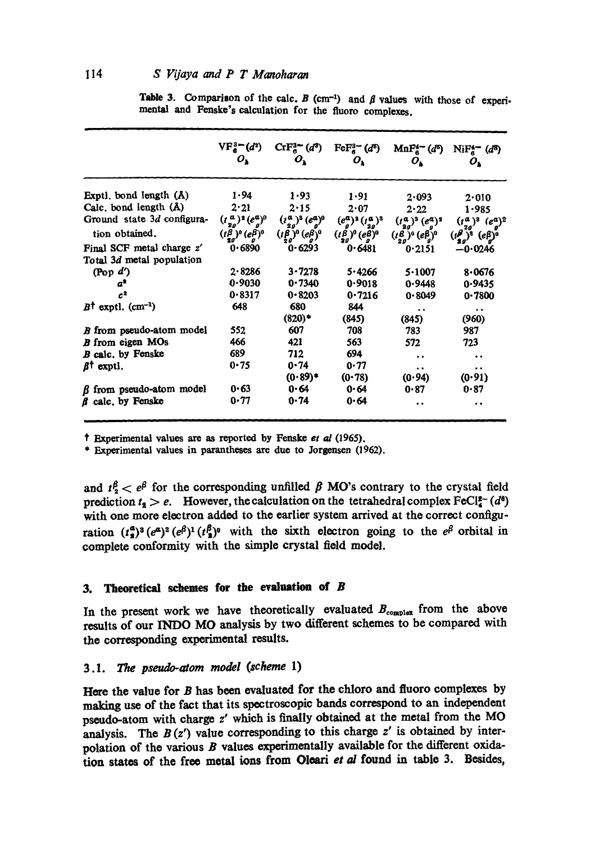### 114 *S Vijaya and P T Manoharan*

|                                  | $VF_a^3 = (d^2)$<br>ο,                                 | $\text{CrF}^{3-}_{6}(d^3)$<br>$\bm{o}_{\mathbf{k}}$ | $\text{FeF}_a^3$ $(d^5)$<br>$O_{\lambda}$ | $MnF_6^4$ $(d^6)$<br>ο.      | $NiF_a^4$ (d <sup>8</sup> )<br>ο,               |
|----------------------------------|--------------------------------------------------------|-----------------------------------------------------|-------------------------------------------|------------------------------|-------------------------------------------------|
| Exptl. bond length (Å)           | 1.94                                                   | 1.93                                                | 1.91                                      | 2.093                        | 2.010                                           |
| Calc, bond length (Å)            | 2.21                                                   | 2.15                                                | 2.07                                      | 2.22                         | 1.985                                           |
| Ground state 3d configura-       | $(t_{2a}^a)^2 (e_a^a)^0$                               | $(t_{2g}^{\alpha})^3$ $(e_g^{\alpha})^0$            | $(e^a_a)^2$ $(t^a_a)^3$                   | $(t_a^a)^3$ $(e_a^a)^3$      | $(t^a_{2g})^3$ $(e^a_g)^2$                      |
| tion obtained.                   | $(t^\beta_{qg})^\mathfrak{d} (e^\beta_g)^\mathfrak{d}$ | $(t\beta)$ <sup>0</sup> $(e\beta)$ <sup>0</sup>     | $(t^\beta_{2g})^0$ $(e^\beta_g)^0$        | $(t_{2g}^B)^0$ $(e_{g}^B)^0$ | $(i_{2g}^{\beta})^3$<br>$(e\beta)$ <sup>0</sup> |
| Final SCF metal charge z'        | 0.6890                                                 | 0.6293                                              | 0.6481                                    | 0.2151                       | $-0.0246$                                       |
| Total 3d metal population        |                                                        |                                                     |                                           |                              |                                                 |
| (Pop $d'$ )                      | 2.8286                                                 | 3.7278                                              | 5.4266                                    | 5.1007                       | 8.0676                                          |
| $a^*$                            | 0.9030                                                 | 0.7340                                              | 0.9018                                    | 0.9448                       | 0.9435                                          |
| c <sup>2</sup>                   | 0.8317                                                 | 0.8203                                              | 0.7216                                    | 0.8049                       | 0.7800                                          |
| $B^{\dagger}$ exptl. $(cm^{-1})$ | 648                                                    | 680                                                 | 844                                       |                              |                                                 |
|                                  |                                                        | $(820)^*$                                           | (845)                                     | (845)                        | (960)                                           |
| B from pseudo-atom model         | 552                                                    | 607                                                 | 708                                       | 783                          | 987                                             |
| <b>B</b> from eigen MOs          | 466                                                    | 421                                                 | 563                                       | 572                          | 723                                             |
| B calc. by Fenske                | 689                                                    | 712                                                 | 694                                       | $\ddot{\phantom{1}}$         | . .                                             |
| $\beta^{\dagger}$ exptl.         | 0.75                                                   | 0.74                                                | 0.77                                      | $\ddot{\phantom{1}}$         | $\ddot{\phantom{0}}$                            |
|                                  |                                                        | $(0.89)$ *                                          | (0.78)                                    | (0.94)                       | (0.91)                                          |
| $\beta$ from pseudo-atom model   | 0.63                                                   | $0 - 64$                                            | 0.64                                      | 0.87                         | 0.87                                            |
| f calc, by Fenske                | 0.77                                                   | 0.74                                                | 0.64                                      |                              | . .                                             |

Table 3. Comparison of the calc. B (cm<sup>-1</sup>) and  $\beta$  values with those of experimental and Fenske's calculation for the fluoro complexes.

? Experimental values are as reported by Fenske *et al* (1965).

\* Experimental values in paxantheses axe due to Jorgensen (1962).

and  $t_2^{\beta} < e^{\beta}$  for the corresponding unfilled  $\beta$  MO's contrary to the crystal field prediction  $t<sub>s</sub> > e$ . However, the calculation on the tetrahedral complex FeCI<sup> $z$ -</sup> (d<sup>6</sup>) with one more electron added to the earlier system arrived at the correct configuration  $(t^a_s)^3 (e^a)^2 (e^{\beta})^1 (t^{\beta})^0$  with the sixth electron going to the  $e^{\beta}$  orbital in complete conformity with the simple crystal field model.

# **3.** Theoretical schemes **for the evaluation of B**

In the present work we have theoretically evaluated  $B_{\text{complete}}$  from the above results of our INDO MO analysis by two different schemes to be compared with the corresponding experimental results.

# *3.1. The pseudo-atom model (scheme* 1)

Here the value for B has been evaluated for the chloro and fluoro complexes by making use of the fact that its spectroscopic bands correspond to an independent pseudo-atom with charge z' which is finally obtained at the metal from the MO analysis. The  $B(z')$  value corresponding to this charge z' is obtained by interpolation of the various  $B$  values experimentally available for the different oxidation states of the free metal ions from Oleari et al found in table 3. Besides,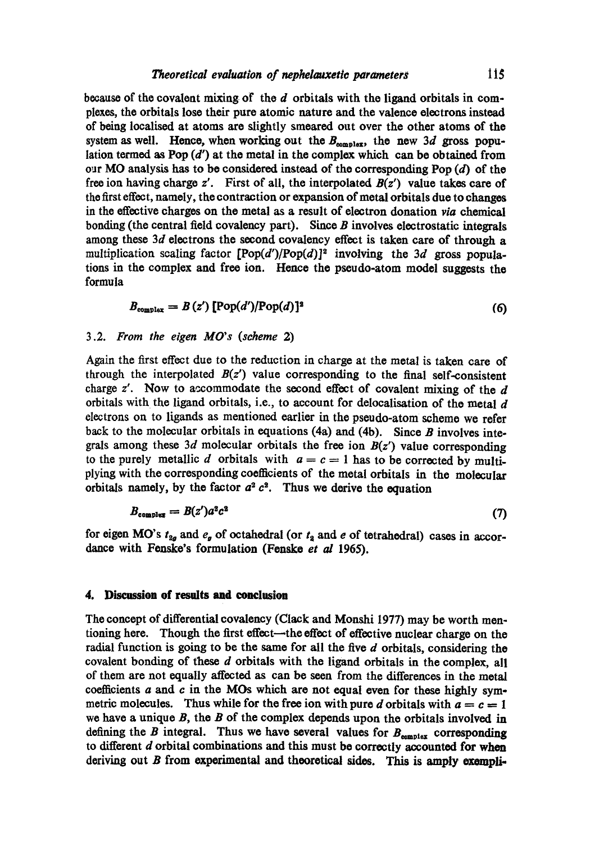because of the covalent mixing of the d orbitals with the ligand orbitals in complexes, the orbitals lose their pure atomic nature and the valence electrons instead of being looalised at atoms are slightly smeared out over the other atoms of the system as well. Hence, when working out the  $B_{\text{complex}}$ , the new 3d gross population termed as Pop  $(d')$  at the metal in the complex which can be obtained from our MO analysis has to be considered instead of the corresponding Pop  $(d)$  of the free ion having charge z'. First of all, the interpolated *B(z')* value takes care of the first etfeot, namely, the contraction or expansion of metal orbitals due to changes in the effective charges on the metal as a result of electron donation *via* chemical bonding (the central field covalency part). Since  $B$  involves electrostatic integrals among these  $3d$  electrons the second covalency effect is taken care of through a multiplication scaling factor *[Pop(d')/Pop(d)]<sup>2</sup>* $involving the 3$ *d* $gross popula$ tions in the complex and free ion. Hence the pseudo-atom model suggests the formula

$$
B_{\text{complex}} = B(z') [\text{Pop}(d')/\text{Pop}(d)]^2
$$
 (6)

### *3.2. From the eigen MO's (scheme* 2)

Again the first effect due to the reduction in charge at the metal is taken care of through the interpolated  $B(z')$  value corresponding to the final self-consistent charge  $z'$ . Now to accommodate the second effect of covalent mixing of the  $d$ orbitals with the ligand orbitals, i.e., to account for delocalisation of the metal  $d$ electrons on to ligands as mentioned earlier in the pseudo-atom scheme we refer back to the molecular orbitals in equations (4a) and (4b). Since  $B$  involves integrals among these 3d molecular orbitals the free ion  $B(z')$  value corresponding to the purely metallic d orbitals with  $a = c = 1$  has to be corrected by multiplying with the corresponding coefficients of the metal orbitals in the molecular orbitals namely, by the factor  $a^2 c^2$ . Thus we derive the equation

$$
B_{\text{complex}} = B(z')a^2c^2 \tag{7}
$$

for eigen MO's  $t_{2g}$  and  $e_g$  of octahedral (or  $t_2$  and e of tetrahedral) cases in accordance with Fenske's formulation (Fenske *et al* 1965).

### **4. Discussion of results and conclusion**

The concept of differential covalency (Clack and Monshi 1977) may be worth mentioning here. Though the first effeot~the effect of effective nuclear charge on the radial function is going to be the same for all the five  $d$  orbitals, considering the covalent bonding of these d orbitals with the ligand orbitals in the complex, all of them are not equally affected as can be seen from the differences in the metal coefficients  $a$  and  $c$  in the MOs which are not equal even for these highly symmetric molecules. Thus while for the free ion with pure d orbitals with  $a = c = 1$ we have a unique  $B$ , the  $B$  of the complex depends upon the orbitals involved in defining the B integral. Thus we have several values for  $B_{\text{complex}}$  corresponding to different  $d$  orbital combinations and this must be correctly accounted for when deriving out  $B$  from experimental and theoretical sides. This is amply exempli-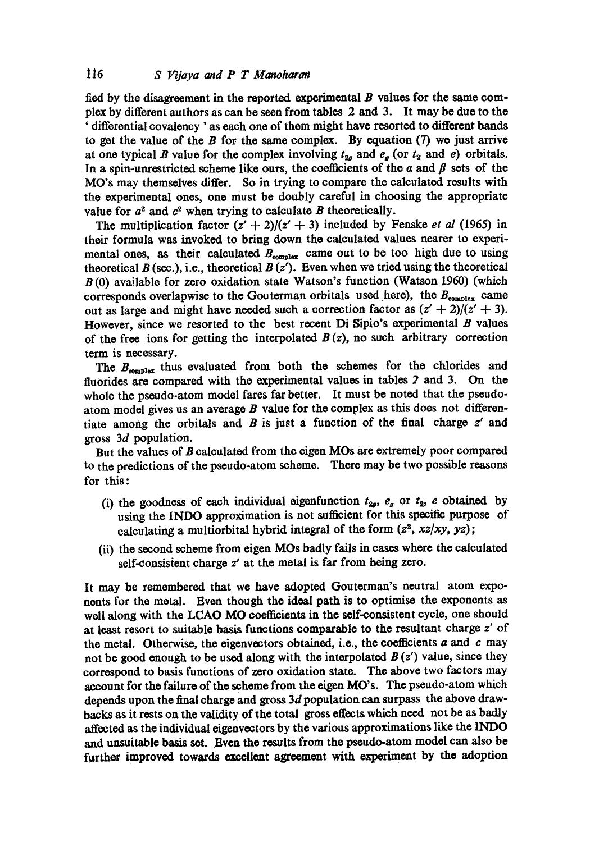fied by the disagreement in the reported experimental  $B$  values for the same complex by different authors as can be seen from tables 2 and 3. It may be due to the ' differential covalency ' as each one of them might have resorted to different bands to get the value of the  $B$  for the same complex. By equation  $(7)$  we just arrive at one typical B value for the complex involving  $t_{2g}$  and  $e_g$  (or  $t_g$  and e) orbitals. In a spin-unrestricted scheme like ours, the coefficients of the  $a$  and  $\beta$  sets of the MO's may themselves differ. So in trying to compare the calculated results with the experimental ones, one must be doubly careful in choosing the appropriate value for  $a^2$  and  $c^2$  when trying to calculate B theoretically.

The multiplication factor  $(z' + 2)/(z' + 3)$  included by Fenske *et al* (1965) in their formula was invoked to bring down the calculated values nearer to experimental ones, as their calculated  $B_{\text{complex}}$  came out to be too high due to using theoretical  $B$  (sec.), i.e., theoretical  $B(z')$ . Even when we tried using the theoretical B (0) available for zero oxidation state Watson's function (Watson !960) (which corresponds overlapwise to the Gouterman orbitals used here), the  $B_{\text{complex}}$  came out as large and might have needed such a correction factor as  $(z' + 2)/(z' + 3)$ . However, since we resorted to the best recent  $\overline{D}$  Sipio's experimental B values of the free ions for getting the interpolated  $B(z)$ , no such arbitrary correction term is necessary.

The  $B_{\text{complex}}$  thus evaluated from both the schemes for the chlorides and fluorides are compared with the experimental values in tables 2 and 3. On the whole the pseudo-atom model fares far better. It must be noted that the pseudoatom model gives us an average  $B$  value for the complex as this does not differentiate among the orbitals and  $B$  is just a function of the final charge  $z'$  and gross 3d population.

But the values of B calculated from the eigen MOs are extremely poor compared to the predictions of the pseudo-atom scheme. There may be two possible reasons for this:

- (i) the goodness of each individual eigenfunction  $t_{2g}$ ,  $e_g$  or  $t_2$ , e obtained by using the INDO approximation is not sufficient for this specific purpose of calculating a multiorbital hybrid integral of the form  $(z^2, xz/xy, yz)$ ;
- (ii) the second scheme from eigen MOs badly fails in cases where the calculated self-consistent charge z' at the metal is far from being zero.

It may be remembered that we have adopted Gouterman's neutral atom exponents for the metal. Even though the ideal path is to optimise the exponents as well along with the LCAO MO coefficients in the self-consistent cycle, one should at least resort to suitable basis functions comparable to the resultant charge z' of the metal. Otherwise, the eigenvectors obtained, i.e., the coefficients  $a$  and  $c$  may not be good enough to be used along with the interpolated  $B(z')$  value, since they correspond to basis functions of zero oxidation state. The above two factors may account for the failure of the scheme from the eigen MO's. The pseudo-atom which depends upon the final charge and gross 3d population can surpass the above drawbacks as it rests on the validity of the total gross effects which need not be as badly affected as the individual oigeavectors by the various approximations like the INDO and unsuitable basis set. Even the results from the pseudo-atom model can also be further improved towards excellent agreement with experiment by the adoption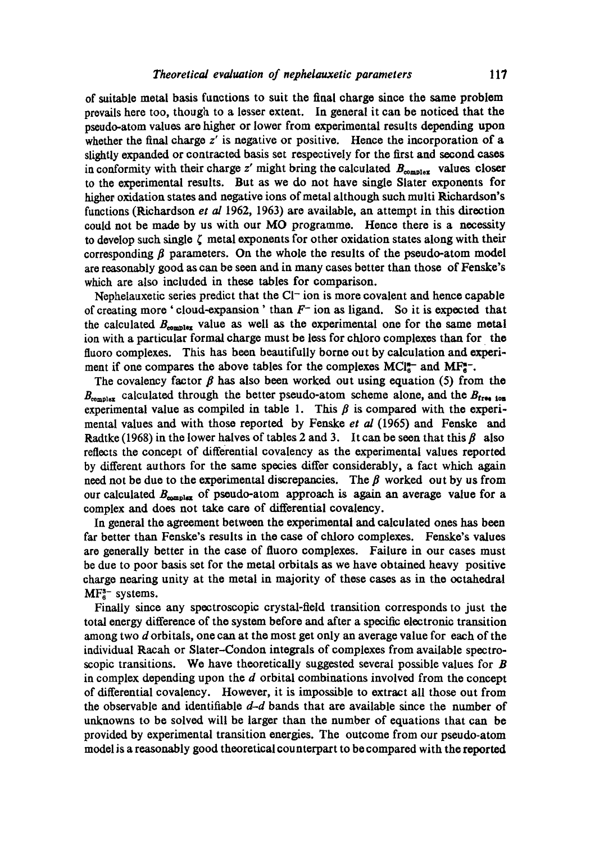of suitable metal basis functions to suit the final charge since the same problem prevails hero too, though to a lesser extent. In general it can be noticed that the pseudo-atom values are higher or lower from experimental results depending upon whether the final charge  $z'$  is negative or positive. Hence the incorporation of a slightly expanded or contracted basis set respectively for the first and second cases in conformity with their charge z' might bring the calculated  $B_{\text{complex}}$  values closer to the experimental results. But as we do not have single Slater exponents for higher oxidation states and negative ions of metal although such multi Richardson's functions (Richardson *et al* 1962, 1963) are available, an attempt in this direction could not be made by us with our MO programme. Hence there is a necessity to develop such single  $\zeta$  metal exponents for other oxidation states along with their corresponding  $\beta$  parameters. On the whole the results of the pseudo-atom model are reasonably good as can be seen and in many cases better than those of Fenske's which are also included in these tables for comparison.

Nephelauxetic series predict that the  $Cl<sup>-</sup>$  ion is more covalent and hence capable of creating more 'cloud-expansion' than  $F^-$  ion as ligand. So it is expected that the calculated  $B_{\text{complete}}$  value as well as the experimental one for the same metal ion with a particular formal charge must be loss for chloro complexes than for the fluoro complexes. This has been beautifully borne out by calculation and experiment if one compares the above tables for the complexes  $MCI<sub>6</sub><sup>+-</sup>$  and  $MF<sub>6</sub><sup>+-</sup>$ .

The covalency factor  $\beta$  has also been worked out using equation (5) from the  $B_{\text{complex}}$  calculated through the better pseudo-atom scheme alone, and the  $B_{\text{free}}$  ton experimental value as compiled in table 1. This  $\beta$  is compared with the experimental values and with those reported by Fenske *et al* (1965) and Fenske and Radtke (1968) in the lower halves of tables 2 and 3. It can be seen that this  $\beta$  also reflects the concept of differential covalency as the experimental values reported by different authors for the same species differ considerably, a fact which again need not be due to the experimental discrepancies. The  $\beta$  worked out by us from our calculated  $B_{\text{complex}}$  of pseudo-atom approach is again an average value for a complex and does not take care of differential covalency.

In general the agreement between the experimental and calculated ones has been far better than Fenske's results in the case of chloro complexes. Fenske's values are generally better in the case of fluoro complexes. Failure in our cases must be due to poor basis set for the metal orbitals as we have obtained heavy positive charge nearing unity at the metal in majority of these cases as in the ootahedral MF<sup>3-</sup> systems.

Finally since any spectroscopic crystal-field transition corresponds to just the total energy difference of the system before and after a specific electronic transition among two d orbitals, one can at the most get only an average value for each of the individual Racah or Slater--Condon integrals of complexes from available spectroscopic transitions. We have theoretically suggested several possible values for  $\bm{B}$ in complex depending upon the  $d$  orbital combinations involved from the concept of differential covalency. However, it is impossible to extract all those out from the observable and identifiable  $d-d$  bands that are available since the number of unknowns to be solved will be larger than the number of equations that can be provided by experimental transition energies. The outcome from our pseudo-atom model is a reasonably good theoretical counterpart to be compared with the reported